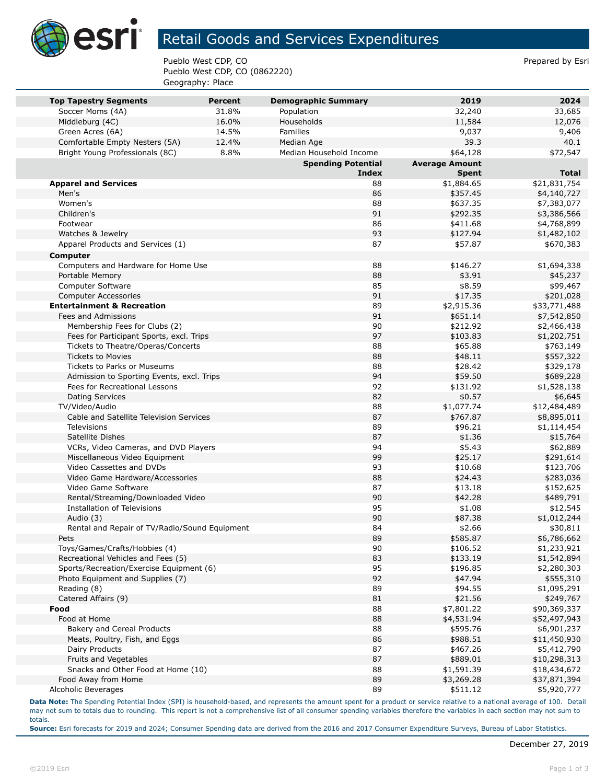

## Retail Goods and Services Expenditures

Pueblo West CDP, CO **Prepared by Esri** Pueblo West CDP, CO (0862220) Geography: Place

| <b>Top Tapestry Segments</b>                  | <b>Percent</b> | <b>Demographic Summary</b> | 2019                  | 2024         |
|-----------------------------------------------|----------------|----------------------------|-----------------------|--------------|
| Soccer Moms (4A)                              | 31.8%          | Population                 | 32,240                | 33,685       |
| Middleburg (4C)                               | 16.0%          | Households                 | 11,584                | 12,076       |
| Green Acres (6A)                              | 14.5%          | Families                   | 9,037                 | 9,406        |
| Comfortable Empty Nesters (5A)                | 12.4%          | Median Age                 | 39.3                  | 40.1         |
| Bright Young Professionals (8C)               | 8.8%           | Median Household Income    | \$64,128              | \$72,547     |
|                                               |                | <b>Spending Potential</b>  | <b>Average Amount</b> |              |
|                                               |                | Index                      | <b>Spent</b>          | <b>Total</b> |
| <b>Apparel and Services</b>                   |                | 88                         | \$1,884.65            | \$21,831,754 |
| Men's                                         |                | 86                         | \$357.45              | \$4,140,727  |
| Women's                                       |                | 88                         | \$637.35              | \$7,383,077  |
| Children's                                    |                | 91                         | \$292.35              | \$3,386,566  |
| Footwear                                      |                | 86                         | \$411.68              | \$4,768,899  |
| Watches & Jewelry                             |                | 93                         | \$127.94              | \$1,482,102  |
| Apparel Products and Services (1)             |                | 87                         | \$57.87               | \$670,383    |
| <b>Computer</b>                               |                |                            |                       |              |
| Computers and Hardware for Home Use           |                | 88                         | \$146.27              | \$1,694,338  |
| Portable Memory                               |                | 88                         | \$3.91                | \$45,237     |
| Computer Software                             |                | 85                         | \$8.59                | \$99,467     |
| <b>Computer Accessories</b>                   |                | 91                         | \$17.35               | \$201,028    |
| <b>Entertainment &amp; Recreation</b>         |                | 89                         | \$2,915.36            | \$33,771,488 |
| Fees and Admissions                           |                | 91                         | \$651.14              | \$7,542,850  |
| Membership Fees for Clubs (2)                 |                | 90                         | \$212.92              | \$2,466,438  |
| Fees for Participant Sports, excl. Trips      |                | 97                         | \$103.83              | \$1,202,751  |
| Tickets to Theatre/Operas/Concerts            |                | 88                         | \$65.88               | \$763,149    |
| <b>Tickets to Movies</b>                      |                | 88                         | \$48.11               | \$557,322    |
| Tickets to Parks or Museums                   |                | 88                         | \$28.42               | \$329,178    |
| Admission to Sporting Events, excl. Trips     |                | 94                         | \$59.50               | \$689,228    |
| Fees for Recreational Lessons                 |                | 92                         | \$131.92              | \$1,528,138  |
| <b>Dating Services</b>                        |                | 82                         | \$0.57                | \$6,645      |
| TV/Video/Audio                                |                | 88                         | \$1,077.74            | \$12,484,489 |
| Cable and Satellite Television Services       |                | 87                         | \$767.87              | \$8,895,011  |
| <b>Televisions</b>                            |                | 89                         | \$96.21               | \$1,114,454  |
| Satellite Dishes                              |                | 87                         | \$1.36                | \$15,764     |
| VCRs, Video Cameras, and DVD Players          |                | 94                         | \$5.43                | \$62,889     |
| Miscellaneous Video Equipment                 |                | 99                         | \$25.17               | \$291,614    |
| Video Cassettes and DVDs                      |                | 93                         | \$10.68               | \$123,706    |
| Video Game Hardware/Accessories               |                | 88                         | \$24.43               | \$283,036    |
| Video Game Software                           |                | 87                         | \$13.18               | \$152,625    |
| Rental/Streaming/Downloaded Video             |                | 90                         | \$42.28               | \$489,791    |
| Installation of Televisions                   |                | 95                         | \$1.08                | \$12,545     |
| Audio (3)                                     |                | 90                         | \$87.38               | \$1,012,244  |
| Rental and Repair of TV/Radio/Sound Equipment |                | 84                         | \$2.66                | \$30,811     |
| Pets                                          |                | 89                         | \$585.87              | \$6,786,662  |
| Toys/Games/Crafts/Hobbies (4)                 |                | 90                         | \$106.52              | \$1,233,921  |
| Recreational Vehicles and Fees (5)            |                | 83                         | \$133.19              | \$1,542,894  |
| Sports/Recreation/Exercise Equipment (6)      |                | 95                         | \$196.85              | \$2,280,303  |
| Photo Equipment and Supplies (7)              |                | 92                         | \$47.94               | \$555,310    |
| Reading (8)                                   |                | 89                         | \$94.55               | \$1,095,291  |
| Catered Affairs (9)                           |                | 81                         | \$21.56               | \$249,767    |
| Food                                          |                | 88                         | \$7,801.22            | \$90,369,337 |
| Food at Home                                  |                | 88                         | \$4,531.94            | \$52,497,943 |
| Bakery and Cereal Products                    |                | 88                         | \$595.76              | \$6,901,237  |
| Meats, Poultry, Fish, and Eggs                |                | 86                         | \$988.51              | \$11,450,930 |
| Dairy Products                                |                | 87                         | \$467.26              | \$5,412,790  |
| Fruits and Vegetables                         |                | 87                         | \$889.01              | \$10,298,313 |
| Snacks and Other Food at Home (10)            |                | 88                         | \$1,591.39            | \$18,434,672 |
| Food Away from Home                           |                | 89                         | \$3,269.28            | \$37,871,394 |
| Alcoholic Beverages                           |                | 89                         | \$511.12              | \$5,920,777  |

**Data Note:** The Spending Potential Index (SPI) is household-based, and represents the amount spent for a product or service relative to a national average of 100. Detail may not sum to totals due to rounding. This report is not a comprehensive list of all consumer spending variables therefore the variables in each section may not sum to totals.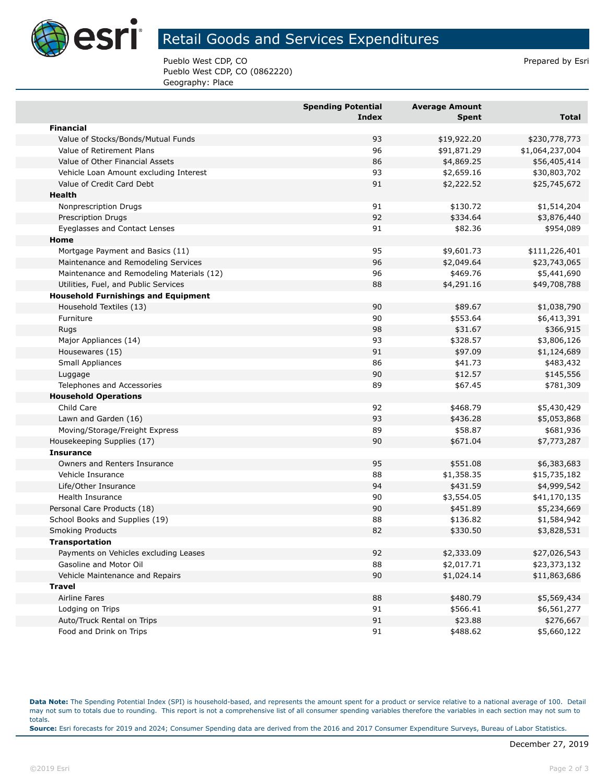

## Retail Goods and Services Expenditures

Pueblo West CDP, CO **Prepared by Esri** Pueblo West CDP, CO (0862220) Geography: Place

|                                            | <b>Spending Potential</b><br><b>Index</b> | <b>Average Amount</b><br><b>Spent</b> | <b>Total</b>    |
|--------------------------------------------|-------------------------------------------|---------------------------------------|-----------------|
| <b>Financial</b>                           |                                           |                                       |                 |
| Value of Stocks/Bonds/Mutual Funds         | 93                                        | \$19,922.20                           | \$230,778,773   |
| Value of Retirement Plans                  | 96                                        | \$91,871.29                           | \$1,064,237,004 |
| Value of Other Financial Assets            | 86                                        | \$4,869.25                            | \$56,405,414    |
| Vehicle Loan Amount excluding Interest     | 93                                        | \$2,659.16                            | \$30,803,702    |
| Value of Credit Card Debt                  | 91                                        | \$2,222.52                            | \$25,745,672    |
| Health                                     |                                           |                                       |                 |
| Nonprescription Drugs                      | 91                                        | \$130.72                              | \$1,514,204     |
| <b>Prescription Drugs</b>                  | 92                                        | \$334.64                              | \$3,876,440     |
| Eyeglasses and Contact Lenses              | 91                                        | \$82.36                               | \$954,089       |
| Home                                       |                                           |                                       |                 |
| Mortgage Payment and Basics (11)           | 95                                        | \$9,601.73                            | \$111,226,401   |
| Maintenance and Remodeling Services        | 96                                        | \$2,049.64                            | \$23,743,065    |
| Maintenance and Remodeling Materials (12)  | 96                                        | \$469.76                              | \$5,441,690     |
| Utilities, Fuel, and Public Services       | 88                                        | \$4,291.16                            | \$49,708,788    |
| <b>Household Furnishings and Equipment</b> |                                           |                                       |                 |
| Household Textiles (13)                    | 90                                        | \$89.67                               | \$1,038,790     |
| Furniture                                  | 90                                        | \$553.64                              | \$6,413,391     |
| Rugs                                       | 98                                        | \$31.67                               | \$366,915       |
| Major Appliances (14)                      | 93                                        | \$328.57                              | \$3,806,126     |
| Housewares (15)                            | 91                                        | \$97.09                               | \$1,124,689     |
| Small Appliances                           | 86                                        | \$41.73                               | \$483,432       |
| Luggage                                    | 90                                        | \$12.57                               | \$145,556       |
| Telephones and Accessories                 | 89                                        | \$67.45                               | \$781,309       |
| <b>Household Operations</b>                |                                           |                                       |                 |
| Child Care                                 | 92                                        | \$468.79                              | \$5,430,429     |
| Lawn and Garden (16)                       | 93                                        | \$436.28                              | \$5,053,868     |
| Moving/Storage/Freight Express             | 89                                        | \$58.87                               | \$681,936       |
| Housekeeping Supplies (17)                 | 90                                        | \$671.04                              | \$7,773,287     |
| <b>Insurance</b>                           |                                           |                                       |                 |
| Owners and Renters Insurance               | 95                                        | \$551.08                              | \$6,383,683     |
| Vehicle Insurance                          | 88                                        | \$1,358.35                            | \$15,735,182    |
| Life/Other Insurance                       | 94                                        | \$431.59                              | \$4,999,542     |
| Health Insurance                           | 90                                        | \$3,554.05                            | \$41,170,135    |
| Personal Care Products (18)                | 90                                        | \$451.89                              | \$5,234,669     |
| School Books and Supplies (19)             | 88                                        | \$136.82                              | \$1,584,942     |
| <b>Smoking Products</b>                    | 82                                        | \$330.50                              | \$3,828,531     |
| Transportation                             |                                           |                                       |                 |
| Payments on Vehicles excluding Leases      | 92                                        | \$2,333.09                            | \$27,026,543    |
| Gasoline and Motor Oil                     | 88                                        | \$2,017.71                            | \$23,373,132    |
| Vehicle Maintenance and Repairs            | 90                                        | \$1,024.14                            | \$11,863,686    |
| <b>Travel</b>                              |                                           |                                       |                 |
| Airline Fares                              | 88                                        | \$480.79                              | \$5,569,434     |
| Lodging on Trips                           | 91                                        | \$566.41                              | \$6,561,277     |
| Auto/Truck Rental on Trips                 | 91                                        | \$23.88                               | \$276,667       |
| Food and Drink on Trips                    | 91                                        | \$488.62                              | \$5,660,122     |

**Data Note:** The Spending Potential Index (SPI) is household-based, and represents the amount spent for a product or service relative to a national average of 100. Detail may not sum to totals due to rounding. This report is not a comprehensive list of all consumer spending variables therefore the variables in each section may not sum to totals. **Source:** Esri forecasts for 2019 and 2024; Consumer Spending data are derived from the 2016 and 2017 Consumer Expenditure Surveys, Bureau of Labor Statistics.